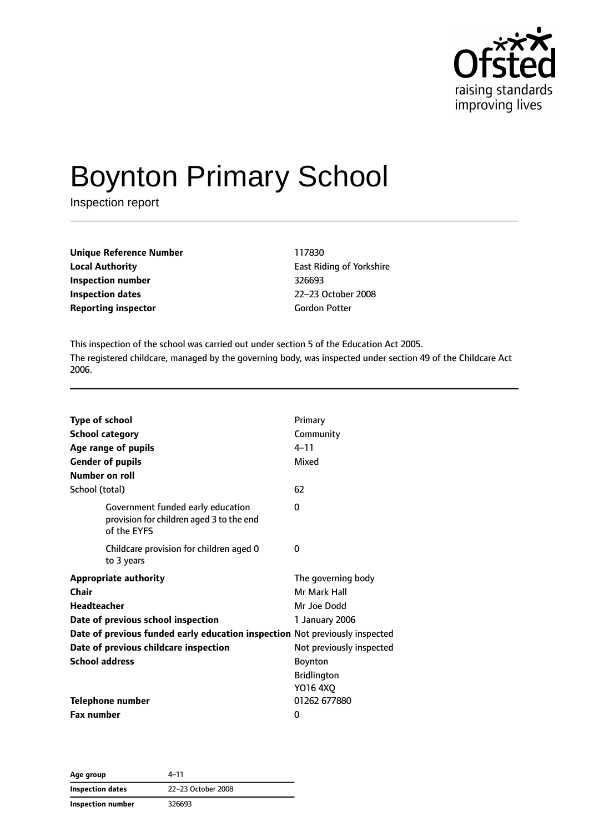

# Boynton Primary School

Inspection report

| <b>Unique Reference Number</b> | 117830    |
|--------------------------------|-----------|
| <b>Local Authority</b>         | East Rio  |
| Inspection number              | 326693    |
| <b>Inspection dates</b>        | $22 - 23$ |
| <b>Reporting inspector</b>     | Gordon    |

**East Riding of Yorkshire Inspection number** 326693 **Inspection dates** 22–23 October 2008 **Gordon Potter** 

This inspection of the school was carried out under section 5 of the Education Act 2005. The registered childcare, managed by the governing body, was inspected under section 49 of the Childcare Act 2006.

| <b>Type of school</b><br><b>School category</b><br>Age range of pupils<br><b>Gender of pupils</b><br>Number on roll                                                                                                                                | Primary<br>Community<br>$4 - 11$<br>Mixed                                                                                               |
|----------------------------------------------------------------------------------------------------------------------------------------------------------------------------------------------------------------------------------------------------|-----------------------------------------------------------------------------------------------------------------------------------------|
| School (total)                                                                                                                                                                                                                                     | 62                                                                                                                                      |
| Government funded early education<br>provision for children aged 3 to the end<br>of the EYFS                                                                                                                                                       | 0                                                                                                                                       |
| Childcare provision for children aged 0<br>to 3 years                                                                                                                                                                                              | 0                                                                                                                                       |
| <b>Appropriate authority</b><br>Chair<br><b>Headteacher</b><br>Date of previous school inspection<br>Date of previous funded early education inspection Not previously inspected<br>Date of previous childcare inspection<br><b>School address</b> | The governing body<br>Mr Mark Hall<br>Mr Joe Dodd<br>1 January 2006<br>Not previously inspected<br><b>Boynton</b><br><b>Bridlington</b> |
| <b>Telephone number</b>                                                                                                                                                                                                                            | Y016 4XQ<br>01262 677880                                                                                                                |
| <b>Fax number</b>                                                                                                                                                                                                                                  | 0                                                                                                                                       |

**Age group** 4–11 **Inspection dates** 22–23 October 2008 **Inspection number** 326693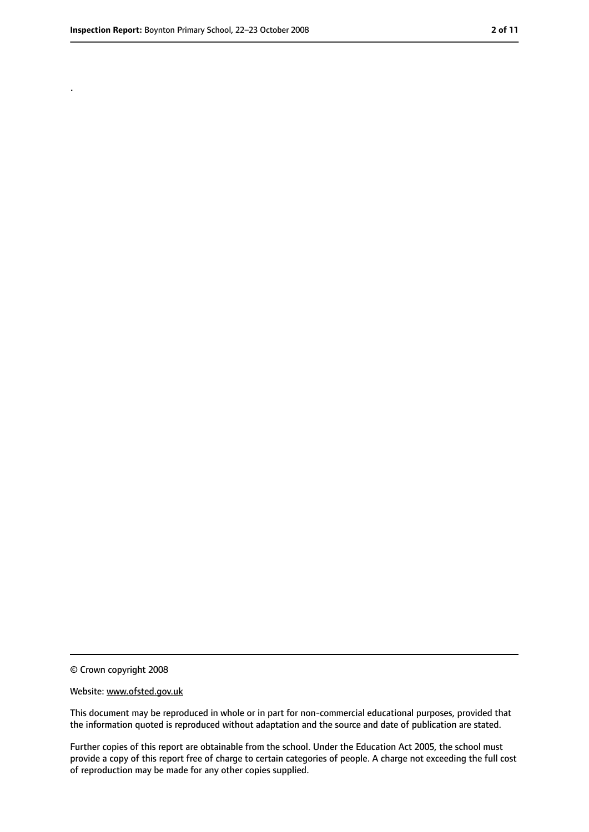.

<sup>©</sup> Crown copyright 2008

Website: www.ofsted.gov.uk

This document may be reproduced in whole or in part for non-commercial educational purposes, provided that the information quoted is reproduced without adaptation and the source and date of publication are stated.

Further copies of this report are obtainable from the school. Under the Education Act 2005, the school must provide a copy of this report free of charge to certain categories of people. A charge not exceeding the full cost of reproduction may be made for any other copies supplied.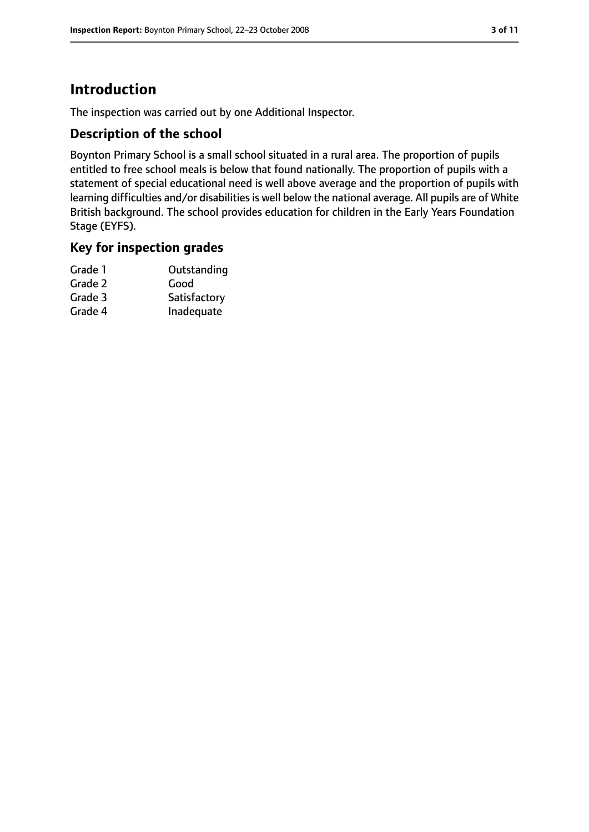# **Introduction**

The inspection was carried out by one Additional Inspector.

#### **Description of the school**

Boynton Primary School is a small school situated in a rural area. The proportion of pupils entitled to free school meals is below that found nationally. The proportion of pupils with a statement of special educational need is well above average and the proportion of pupils with learning difficulties and/or disabilities is well below the national average. All pupils are of White British background. The school provides education for children in the Early Years Foundation Stage (EYFS).

# **Key for inspection grades**

| Grade 1 | Outstanding  |
|---------|--------------|
| Grade 2 | Good         |
| Grade 3 | Satisfactory |
| Grade 4 | Inadequate   |
|         |              |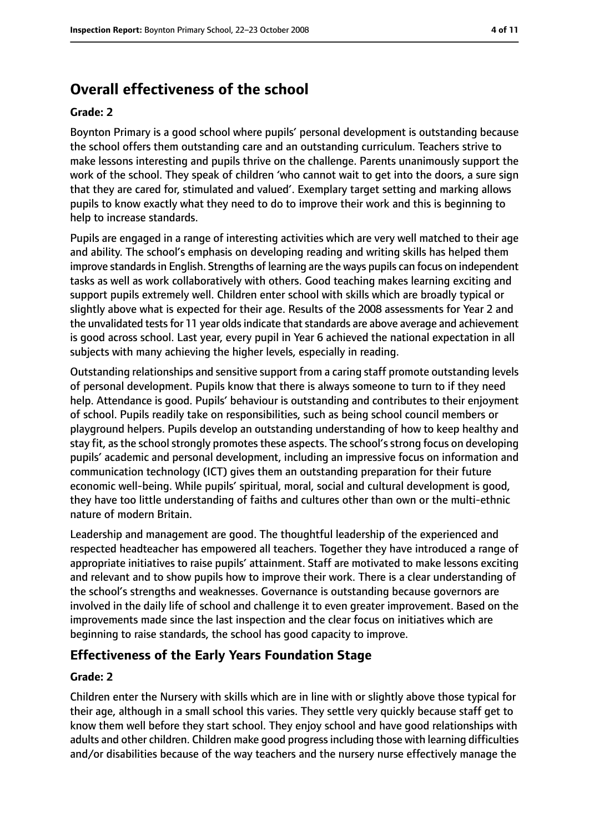# **Overall effectiveness of the school**

#### **Grade: 2**

Boynton Primary is a good school where pupils' personal development is outstanding because the school offers them outstanding care and an outstanding curriculum. Teachers strive to make lessons interesting and pupils thrive on the challenge. Parents unanimously support the work of the school. They speak of children 'who cannot wait to get into the doors, a sure sign that they are cared for, stimulated and valued'. Exemplary target setting and marking allows pupils to know exactly what they need to do to improve their work and this is beginning to help to increase standards.

Pupils are engaged in a range of interesting activities which are very well matched to their age and ability. The school's emphasis on developing reading and writing skills has helped them improve standards in English. Strengths of learning are the ways pupils can focus on independent tasks as well as work collaboratively with others. Good teaching makes learning exciting and support pupils extremely well. Children enter school with skills which are broadly typical or slightly above what is expected for their age. Results of the 2008 assessments for Year 2 and the unvalidated tests for 11 year olds indicate that standards are above average and achievement is good across school. Last year, every pupil in Year 6 achieved the national expectation in all subjects with many achieving the higher levels, especially in reading.

Outstanding relationships and sensitive support from a caring staff promote outstanding levels of personal development. Pupils know that there is always someone to turn to if they need help. Attendance is good. Pupils' behaviour is outstanding and contributes to their enjoyment of school. Pupils readily take on responsibilities, such as being school council members or playground helpers. Pupils develop an outstanding understanding of how to keep healthy and stay fit, as the school strongly promotes these aspects. The school's strong focus on developing pupils' academic and personal development, including an impressive focus on information and communication technology (ICT) gives them an outstanding preparation for their future economic well-being. While pupils' spiritual, moral, social and cultural development is good, they have too little understanding of faiths and cultures other than own or the multi-ethnic nature of modern Britain.

Leadership and management are good. The thoughtful leadership of the experienced and respected headteacher has empowered all teachers. Together they have introduced a range of appropriate initiatives to raise pupils' attainment. Staff are motivated to make lessons exciting and relevant and to show pupils how to improve their work. There is a clear understanding of the school's strengths and weaknesses. Governance is outstanding because governors are involved in the daily life of school and challenge it to even greater improvement. Based on the improvements made since the last inspection and the clear focus on initiatives which are beginning to raise standards, the school has good capacity to improve.

## **Effectiveness of the Early Years Foundation Stage**

#### **Grade: 2**

Children enter the Nursery with skills which are in line with or slightly above those typical for their age, although in a small school this varies. They settle very quickly because staff get to know them well before they start school. They enjoy school and have good relationships with adults and other children. Children make good progress including those with learning difficulties and/or disabilities because of the way teachers and the nursery nurse effectively manage the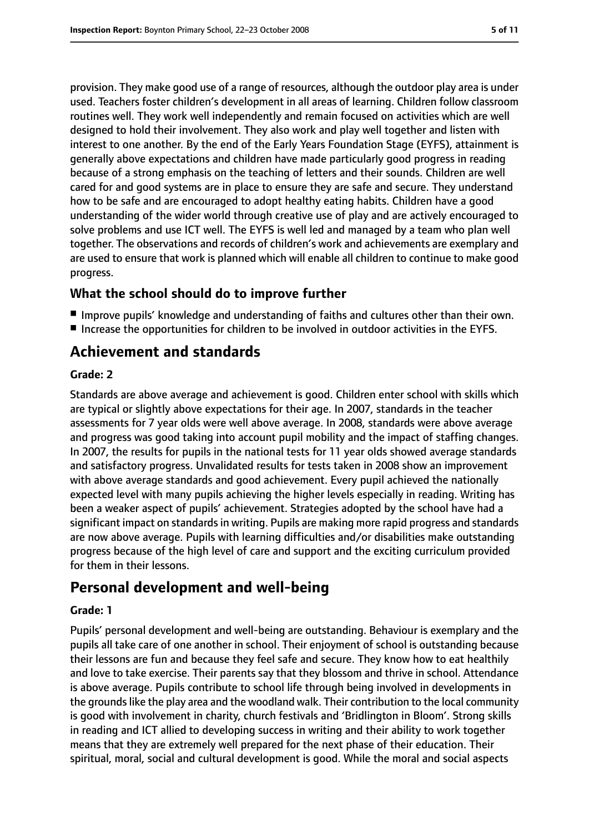provision. They make good use of a range of resources, although the outdoor play area is under used. Teachers foster children's development in all areas of learning. Children follow classroom routines well. They work well independently and remain focused on activities which are well designed to hold their involvement. They also work and play well together and listen with interest to one another. By the end of the Early Years Foundation Stage (EYFS), attainment is generally above expectations and children have made particularly good progress in reading because of a strong emphasis on the teaching of letters and their sounds. Children are well cared for and good systems are in place to ensure they are safe and secure. They understand how to be safe and are encouraged to adopt healthy eating habits. Children have a good understanding of the wider world through creative use of play and are actively encouraged to solve problems and use ICT well. The EYFS is well led and managed by a team who plan well together. The observations and records of children's work and achievements are exemplary and are used to ensure that work is planned which will enable all children to continue to make good progress.

#### **What the school should do to improve further**

- Improve pupils' knowledge and understanding of faiths and cultures other than their own.
- Increase the opportunities for children to be involved in outdoor activities in the EYFS.

# **Achievement and standards**

#### **Grade: 2**

Standards are above average and achievement is good. Children enter school with skills which are typical or slightly above expectations for their age. In 2007, standards in the teacher assessments for 7 year olds were well above average. In 2008, standards were above average and progress was good taking into account pupil mobility and the impact of staffing changes. In 2007, the results for pupils in the national tests for 11 year olds showed average standards and satisfactory progress. Unvalidated results for tests taken in 2008 show an improvement with above average standards and good achievement. Every pupil achieved the nationally expected level with many pupils achieving the higher levels especially in reading. Writing has been a weaker aspect of pupils' achievement. Strategies adopted by the school have had a significant impact on standards in writing. Pupils are making more rapid progress and standards are now above average. Pupils with learning difficulties and/or disabilities make outstanding progress because of the high level of care and support and the exciting curriculum provided for them in their lessons.

# **Personal development and well-being**

#### **Grade: 1**

Pupils' personal development and well-being are outstanding. Behaviour is exemplary and the pupils all take care of one another in school. Their enjoyment of school is outstanding because their lessons are fun and because they feel safe and secure. They know how to eat healthily and love to take exercise. Their parents say that they blossom and thrive in school. Attendance is above average. Pupils contribute to school life through being involved in developments in the groundslike the play area and the woodland walk. Their contribution to the local community is good with involvement in charity, church festivals and 'Bridlington in Bloom'. Strong skills in reading and ICT allied to developing success in writing and their ability to work together means that they are extremely well prepared for the next phase of their education. Their spiritual, moral, social and cultural development is good. While the moral and social aspects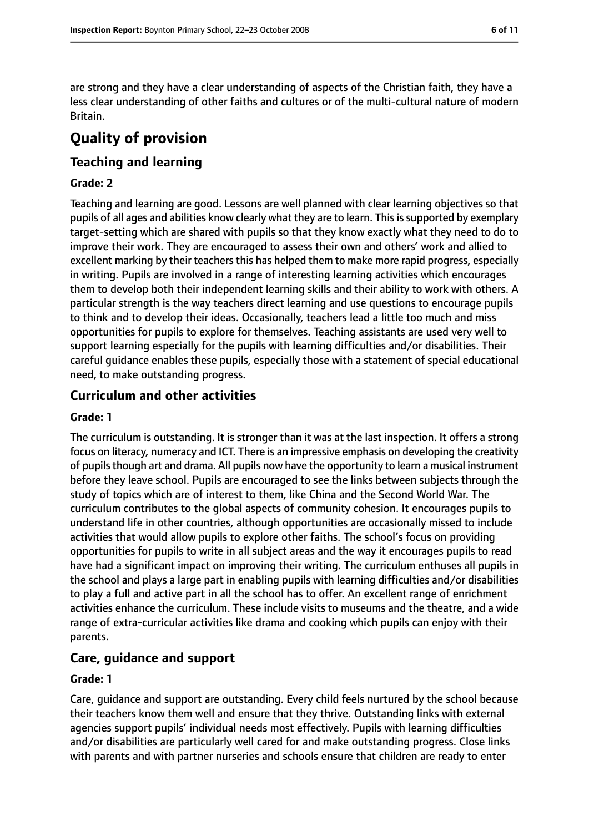are strong and they have a clear understanding of aspects of the Christian faith, they have a less clear understanding of other faiths and cultures or of the multi-cultural nature of modern Britain.

# **Quality of provision**

# **Teaching and learning**

#### **Grade: 2**

Teaching and learning are good. Lessons are well planned with clear learning objectives so that pupils of all ages and abilities know clearly what they are to learn. Thisissupported by exemplary target-setting which are shared with pupils so that they know exactly what they need to do to improve their work. They are encouraged to assess their own and others' work and allied to excellent marking by their teachers this has helped them to make more rapid progress, especially in writing. Pupils are involved in a range of interesting learning activities which encourages them to develop both their independent learning skills and their ability to work with others. A particular strength is the way teachers direct learning and use questions to encourage pupils to think and to develop their ideas. Occasionally, teachers lead a little too much and miss opportunities for pupils to explore for themselves. Teaching assistants are used very well to support learning especially for the pupils with learning difficulties and/or disabilities. Their careful guidance enables these pupils, especially those with a statement of special educational need, to make outstanding progress.

## **Curriculum and other activities**

#### **Grade: 1**

The curriculum is outstanding. It is stronger than it was at the last inspection. It offers a strong focus on literacy, numeracy and ICT. There is an impressive emphasis on developing the creativity of pupils though art and drama. All pupils now have the opportunity to learn a musical instrument before they leave school. Pupils are encouraged to see the links between subjects through the study of topics which are of interest to them, like China and the Second World War. The curriculum contributes to the global aspects of community cohesion. It encourages pupils to understand life in other countries, although opportunities are occasionally missed to include activities that would allow pupils to explore other faiths. The school's focus on providing opportunities for pupils to write in all subject areas and the way it encourages pupils to read have had a significant impact on improving their writing. The curriculum enthuses all pupils in the school and plays a large part in enabling pupils with learning difficulties and/or disabilities to play a full and active part in all the school has to offer. An excellent range of enrichment activities enhance the curriculum. These include visits to museums and the theatre, and a wide range of extra-curricular activities like drama and cooking which pupils can enjoy with their parents.

## **Care, guidance and support**

#### **Grade: 1**

Care, guidance and support are outstanding. Every child feels nurtured by the school because their teachers know them well and ensure that they thrive. Outstanding links with external agencies support pupils' individual needs most effectively. Pupils with learning difficulties and/or disabilities are particularly well cared for and make outstanding progress. Close links with parents and with partner nurseries and schools ensure that children are ready to enter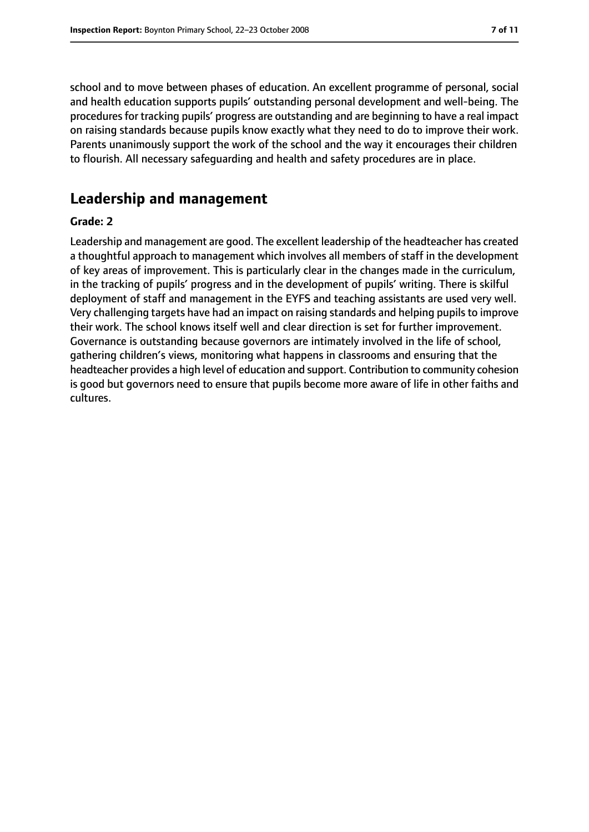school and to move between phases of education. An excellent programme of personal, social and health education supports pupils' outstanding personal development and well-being. The procedures for tracking pupils' progress are outstanding and are beginning to have a real impact on raising standards because pupils know exactly what they need to do to improve their work. Parents unanimously support the work of the school and the way it encourages their children to flourish. All necessary safeguarding and health and safety procedures are in place.

# **Leadership and management**

#### **Grade: 2**

Leadership and management are good. The excellent leadership of the headteacher has created a thoughtful approach to management which involves all members of staff in the development of key areas of improvement. This is particularly clear in the changes made in the curriculum, in the tracking of pupils' progress and in the development of pupils' writing. There is skilful deployment of staff and management in the EYFS and teaching assistants are used very well. Very challenging targets have had an impact on raising standards and helping pupils to improve their work. The school knows itself well and clear direction is set for further improvement. Governance is outstanding because governors are intimately involved in the life of school, gathering children's views, monitoring what happens in classrooms and ensuring that the headteacher provides a high level of education and support. Contribution to community cohesion is good but governors need to ensure that pupils become more aware of life in other faiths and cultures.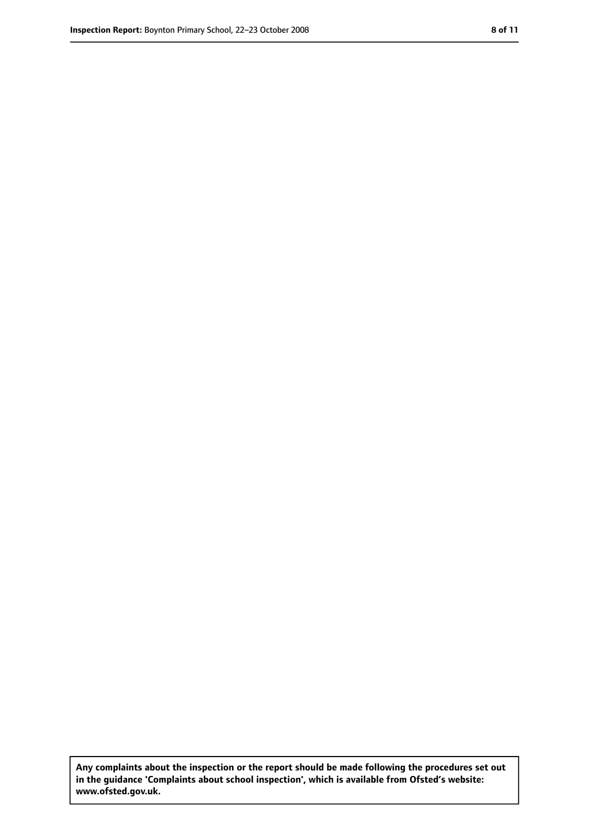**Any complaints about the inspection or the report should be made following the procedures set out in the guidance 'Complaints about school inspection', which is available from Ofsted's website: www.ofsted.gov.uk.**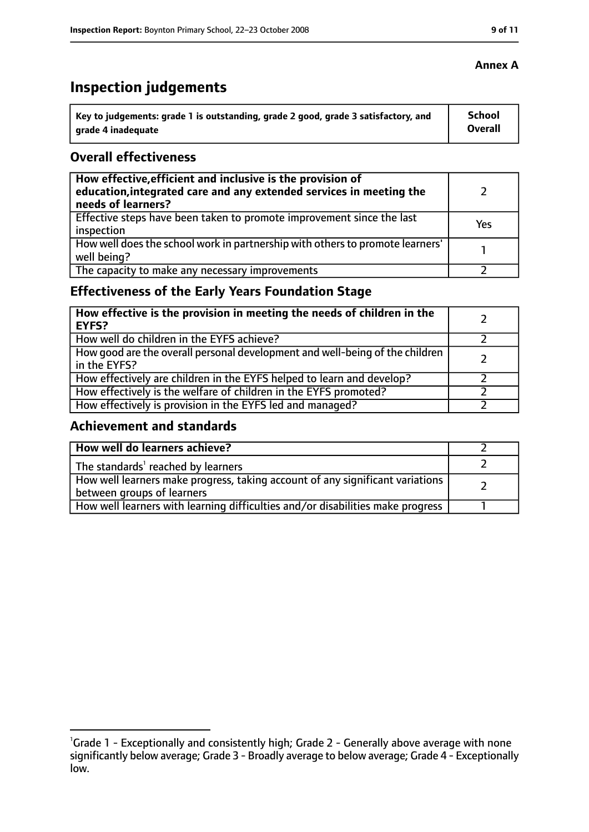# **Inspection judgements**

| $^{\backprime}$ Key to judgements: grade 1 is outstanding, grade 2 good, grade 3 satisfactory, and | School  |
|----------------------------------------------------------------------------------------------------|---------|
| arade 4 inadequate                                                                                 | Overall |

# **Overall effectiveness**

| How effective, efficient and inclusive is the provision of<br>education, integrated care and any extended services in meeting the<br>needs of learners? |     |
|---------------------------------------------------------------------------------------------------------------------------------------------------------|-----|
| Effective steps have been taken to promote improvement since the last<br>inspection                                                                     | Yes |
| How well does the school work in partnership with others to promote learners'<br>well being?                                                            |     |
| The capacity to make any necessary improvements                                                                                                         |     |

# **Effectiveness of the Early Years Foundation Stage**

| How effective is the provision in meeting the needs of children in the<br><b>EYFS?</b>       |  |
|----------------------------------------------------------------------------------------------|--|
| How well do children in the EYFS achieve?                                                    |  |
| How good are the overall personal development and well-being of the children<br>in the EYFS? |  |
| How effectively are children in the EYFS helped to learn and develop?                        |  |
| How effectively is the welfare of children in the EYFS promoted?                             |  |
| How effectively is provision in the EYFS led and managed?                                    |  |

# **Achievement and standards**

| How well do learners achieve?                                                                               |  |
|-------------------------------------------------------------------------------------------------------------|--|
| The standards <sup>1</sup> reached by learners                                                              |  |
| How well learners make progress, taking account of any significant variations<br>between groups of learners |  |
| How well learners with learning difficulties and/or disabilities make progress                              |  |

#### **Annex A**

<sup>&</sup>lt;sup>1</sup>Grade 1 - Exceptionally and consistently high; Grade 2 - Generally above average with none significantly below average; Grade 3 - Broadly average to below average; Grade 4 - Exceptionally low.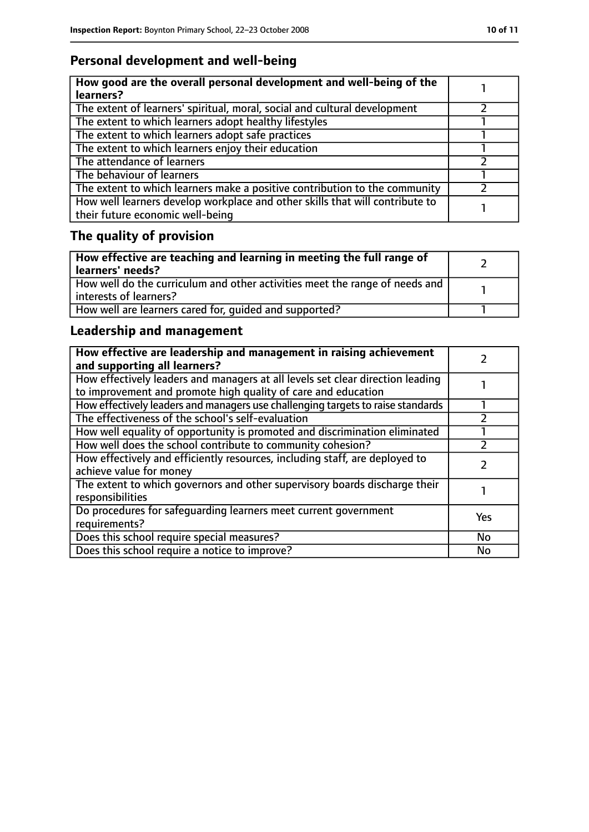# **Personal development and well-being**

| How good are the overall personal development and well-being of the<br>learners?                                 |  |
|------------------------------------------------------------------------------------------------------------------|--|
| The extent of learners' spiritual, moral, social and cultural development                                        |  |
| The extent to which learners adopt healthy lifestyles                                                            |  |
| The extent to which learners adopt safe practices                                                                |  |
| The extent to which learners enjoy their education                                                               |  |
| The attendance of learners                                                                                       |  |
| The behaviour of learners                                                                                        |  |
| The extent to which learners make a positive contribution to the community                                       |  |
| How well learners develop workplace and other skills that will contribute to<br>their future economic well-being |  |

# **The quality of provision**

| How effective are teaching and learning in meeting the full range of<br>learners' needs?              |  |
|-------------------------------------------------------------------------------------------------------|--|
| How well do the curriculum and other activities meet the range of needs and<br>interests of learners? |  |
| How well are learners cared for, quided and supported?                                                |  |

# **Leadership and management**

| How effective are leadership and management in raising achievement<br>and supporting all learners?                                              |     |
|-------------------------------------------------------------------------------------------------------------------------------------------------|-----|
| How effectively leaders and managers at all levels set clear direction leading<br>to improvement and promote high quality of care and education |     |
| How effectively leaders and managers use challenging targets to raise standards                                                                 |     |
| The effectiveness of the school's self-evaluation                                                                                               |     |
| How well equality of opportunity is promoted and discrimination eliminated                                                                      |     |
| How well does the school contribute to community cohesion?                                                                                      |     |
| How effectively and efficiently resources, including staff, are deployed to<br>achieve value for money                                          |     |
| The extent to which governors and other supervisory boards discharge their<br>responsibilities                                                  |     |
| Do procedures for safeguarding learners meet current government<br>requirements?                                                                | Yes |
| Does this school require special measures?                                                                                                      | No  |
| Does this school require a notice to improve?                                                                                                   | No  |